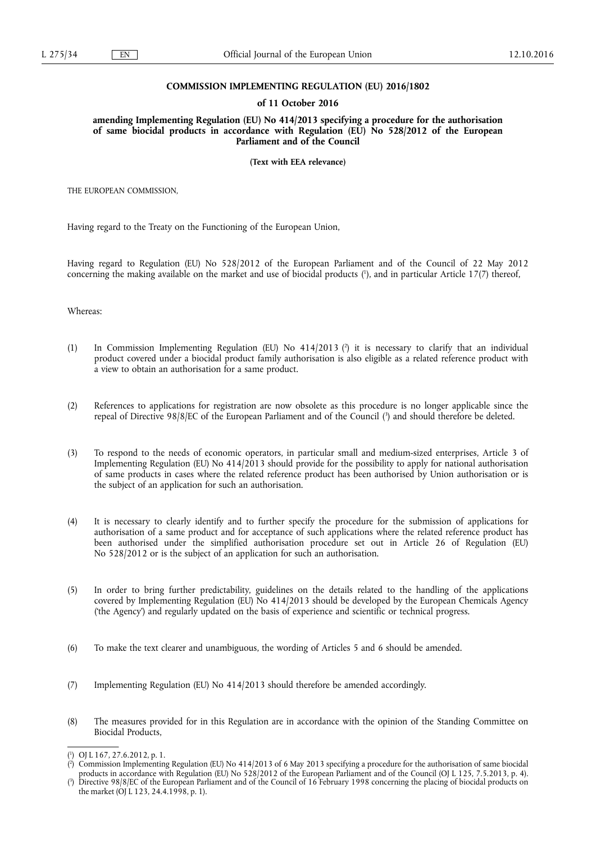## **COMMISSION IMPLEMENTING REGULATION (EU) 2016/1802**

#### **of 11 October 2016**

**amending Implementing Regulation (EU) No 414/2013 specifying a procedure for the authorisation of same biocidal products in accordance with Regulation (EU) No 528/2012 of the European Parliament and of the Council** 

**(Text with EEA relevance)** 

THE EUROPEAN COMMISSION,

Having regard to the Treaty on the Functioning of the European Union,

Having regard to Regulation (EU) No 528/2012 of the European Parliament and of the Council of 22 May 2012 concerning the making available on the market and use of biocidal products ( 1 ), and in particular Article 17(7) thereof,

Whereas:

- (1) In Commission Implementing Regulation (EU) No 414/2013 ( 2 ) it is necessary to clarify that an individual product covered under a biocidal product family authorisation is also eligible as a related reference product with a view to obtain an authorisation for a same product.
- (2) References to applications for registration are now obsolete as this procedure is no longer applicable since the repeal of Directive 98/8/EC of the European Parliament and of the Council ( 3 ) and should therefore be deleted.
- (3) To respond to the needs of economic operators, in particular small and medium-sized enterprises, Article 3 of Implementing Regulation (EU) No 414/2013 should provide for the possibility to apply for national authorisation of same products in cases where the related reference product has been authorised by Union authorisation or is the subject of an application for such an authorisation.
- (4) It is necessary to clearly identify and to further specify the procedure for the submission of applications for authorisation of a same product and for acceptance of such applications where the related reference product has been authorised under the simplified authorisation procedure set out in Article 26 of Regulation (EU) No 528/2012 or is the subject of an application for such an authorisation.
- (5) In order to bring further predictability, guidelines on the details related to the handling of the applications covered by Implementing Regulation (EU) No 414/2013 should be developed by the European Chemicals Agency ('the Agency') and regularly updated on the basis of experience and scientific or technical progress.
- (6) To make the text clearer and unambiguous, the wording of Articles 5 and 6 should be amended.
- (7) Implementing Regulation (EU) No 414/2013 should therefore be amended accordingly.
- (8) The measures provided for in this Regulation are in accordance with the opinion of the Standing Committee on Biocidal Products,

<sup>(</sup> 1 ) OJ L 167, 27.6.2012, p. 1.

<sup>(</sup> 2 ) Commission Implementing Regulation (EU) No 414/2013 of 6 May 2013 specifying a procedure for the authorisation of same biocidal products in accordance with Regulation (EU) No 528/2012 of the European Parliament and of the Council (OJ L 125, 7.5.2013, p. 4).

<sup>(</sup> 3 ) Directive 98/8/EC of the European Parliament and of the Council of 16 February 1998 concerning the placing of biocidal products on the market (OJ L 123, 24.4.1998, p. 1).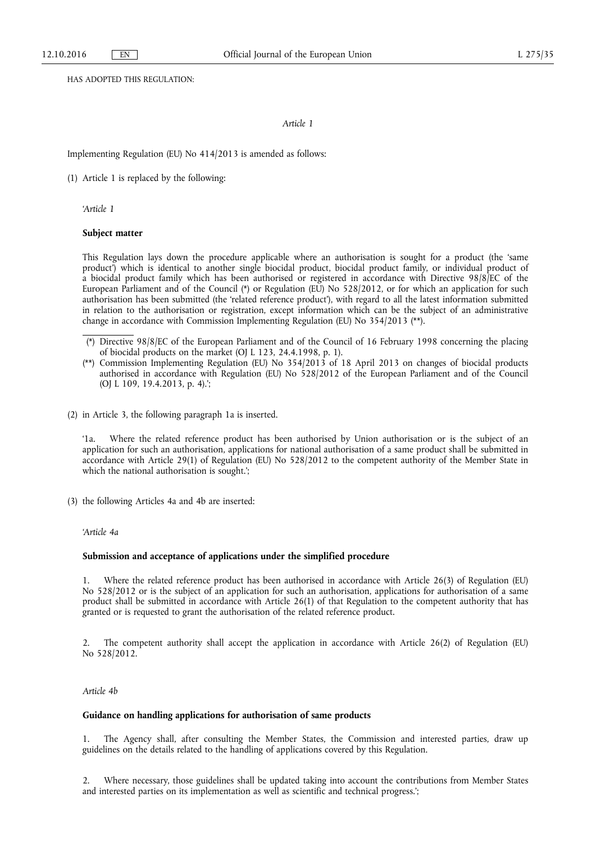HAS ADOPTED THIS REGULATION:

### *Article 1*

Implementing Regulation (EU) No 414/2013 is amended as follows:

(1) Article 1 is replaced by the following:

*'Article 1* 

### **Subject matter**

This Regulation lays down the procedure applicable where an authorisation is sought for a product (the 'same product') which is identical to another single biocidal product, biocidal product family, or individual product of a biocidal product family which has been authorised or registered in accordance with Directive 98/8/EC of the European Parliament and of the Council (\*) or Regulation (EU) No 528/2012, or for which an application for such authorisation has been submitted (the 'related reference product'), with regard to all the latest information submitted in relation to the authorisation or registration, except information which can be the subject of an administrative change in accordance with Commission Implementing Regulation (EU) No 354/2013 (\*\*).

(2) in Article 3, the following paragraph 1a is inserted.

'1a. Where the related reference product has been authorised by Union authorisation or is the subject of an application for such an authorisation, applications for national authorisation of a same product shall be submitted in accordance with Article 29(1) of Regulation (EU) No 528/2012 to the competent authority of the Member State in which the national authorisation is sought.';

(3) the following Articles 4a and 4b are inserted:

*'Article 4a* 

# **Submission and acceptance of applications under the simplified procedure**

1. Where the related reference product has been authorised in accordance with Article 26(3) of Regulation (EU) No 528/2012 or is the subject of an application for such an authorisation, applications for authorisation of a same product shall be submitted in accordance with Article 26(1) of that Regulation to the competent authority that has granted or is requested to grant the authorisation of the related reference product.

2. The competent authority shall accept the application in accordance with Article 26(2) of Regulation (EU) No 528/2012.

*Article 4b* 

## **Guidance on handling applications for authorisation of same products**

1. The Agency shall, after consulting the Member States, the Commission and interested parties, draw up guidelines on the details related to the handling of applications covered by this Regulation.

2. Where necessary, those guidelines shall be updated taking into account the contributions from Member States and interested parties on its implementation as well as scientific and technical progress.';

<sup>(\*)</sup> Directive 98/8/EC of the European Parliament and of the Council of 16 February 1998 concerning the placing of biocidal products on the market (OJ L 123, 24.4.1998, p. 1).

<sup>(\*\*)</sup> Commission Implementing Regulation (EU) No 354/2013 of 18 April 2013 on changes of biocidal products authorised in accordance with Regulation (EU) No 528/2012 of the European Parliament and of the Council (OJ L 109, 19.4.2013, p. 4).';